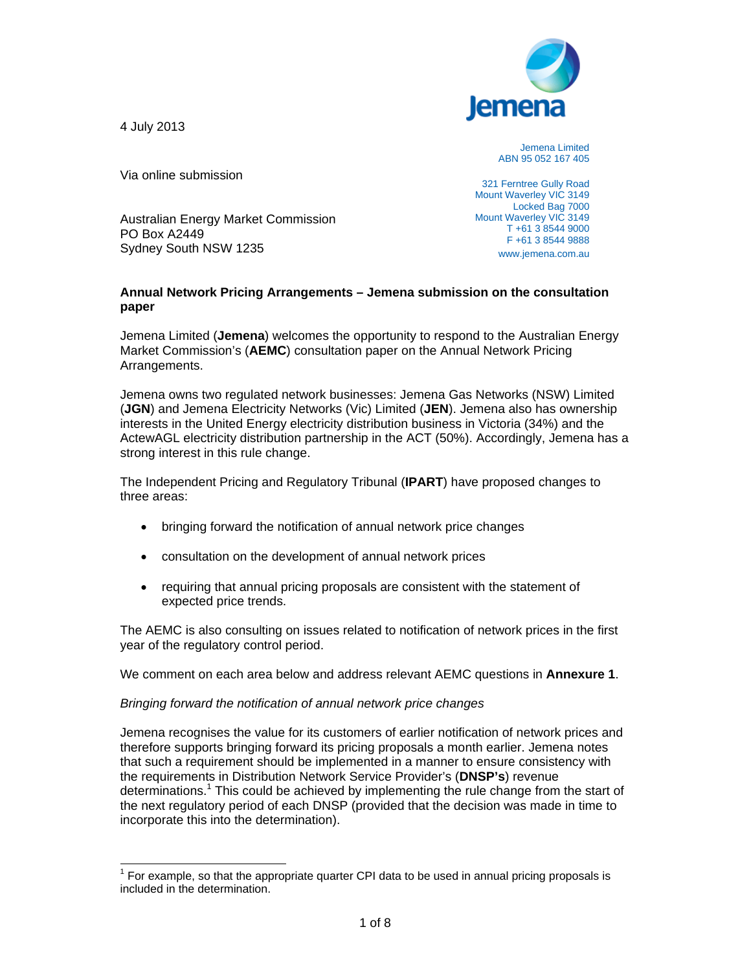4 July 2013

 $\overline{a}$ 



Jemena Limited ABN 95 052 167 405

Via online submission

Australian Energy Market Commission PO Box A2449 Sydney South NSW 1235

321 Ferntree Gully Road Mount Waverley VIC 3149 Locked Bag 7000 Mount Waverley VIC 3149 T +61 3 8544 9000 F +61 3 8544 9888 www.jemena.com.au

## **Annual Network Pricing Arrangements – Jemena submission on the consultation paper**

Jemena Limited (**Jemena**) welcomes the opportunity to respond to the Australian Energy Market Commission's (**AEMC**) consultation paper on the Annual Network Pricing Arrangements.

Jemena owns two regulated network businesses: Jemena Gas Networks (NSW) Limited (**JGN**) and Jemena Electricity Networks (Vic) Limited (**JEN**). Jemena also has ownership interests in the United Energy electricity distribution business in Victoria (34%) and the ActewAGL electricity distribution partnership in the ACT (50%). Accordingly, Jemena has a strong interest in this rule change.

The Independent Pricing and Regulatory Tribunal (**IPART**) have proposed changes to three areas:

- bringing forward the notification of annual network price changes
- consultation on the development of annual network prices
- requiring that annual pricing proposals are consistent with the statement of expected price trends.

The AEMC is also consulting on issues related to notification of network prices in the first year of the regulatory control period.

We comment on each area below and address relevant AEMC questions in **Annexure 1**.

## *Bringing forward the notification of annual network price changes*

Jemena recognises the value for its customers of earlier notification of network prices and therefore supports bringing forward its pricing proposals a month earlier. Jemena notes that such a requirement should be implemented in a manner to ensure consistency with the requirements in Distribution Network Service Provider's (**DNSP's**) revenue determinations.<sup>1</sup> This could be achieved by implementing the rule change from the start of the next regulatory period of each DNSP (provided that the decision was made in time to incorporate this into the determination).

 $1$  For example, so that the appropriate quarter CPI data to be used in annual pricing proposals is included in the determination.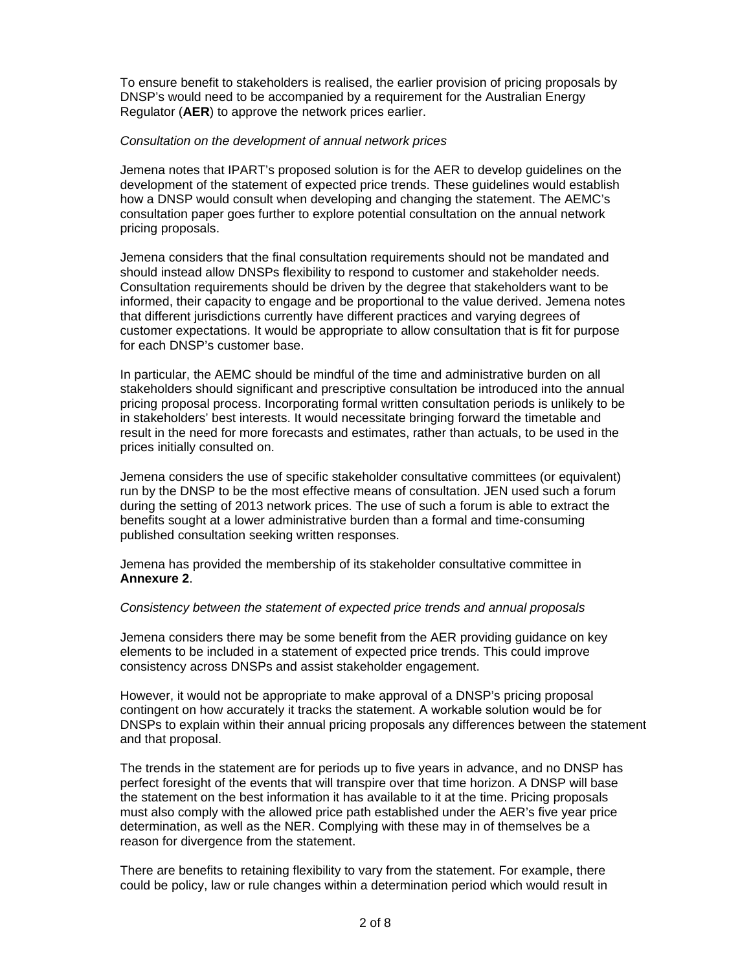To ensure benefit to stakeholders is realised, the earlier provision of pricing proposals by DNSP's would need to be accompanied by a requirement for the Australian Energy Regulator (**AER**) to approve the network prices earlier.

#### *Consultation on the development of annual network prices*

Jemena notes that IPART's proposed solution is for the AER to develop guidelines on the development of the statement of expected price trends. These guidelines would establish how a DNSP would consult when developing and changing the statement. The AEMC's consultation paper goes further to explore potential consultation on the annual network pricing proposals.

Jemena considers that the final consultation requirements should not be mandated and should instead allow DNSPs flexibility to respond to customer and stakeholder needs. Consultation requirements should be driven by the degree that stakeholders want to be informed, their capacity to engage and be proportional to the value derived. Jemena notes that different jurisdictions currently have different practices and varying degrees of customer expectations. It would be appropriate to allow consultation that is fit for purpose for each DNSP's customer base.

In particular, the AEMC should be mindful of the time and administrative burden on all stakeholders should significant and prescriptive consultation be introduced into the annual pricing proposal process. Incorporating formal written consultation periods is unlikely to be in stakeholders' best interests. It would necessitate bringing forward the timetable and result in the need for more forecasts and estimates, rather than actuals, to be used in the prices initially consulted on.

Jemena considers the use of specific stakeholder consultative committees (or equivalent) run by the DNSP to be the most effective means of consultation. JEN used such a forum during the setting of 2013 network prices. The use of such a forum is able to extract the benefits sought at a lower administrative burden than a formal and time-consuming published consultation seeking written responses.

Jemena has provided the membership of its stakeholder consultative committee in **Annexure 2**.

#### *Consistency between the statement of expected price trends and annual proposals*

Jemena considers there may be some benefit from the AER providing guidance on key elements to be included in a statement of expected price trends. This could improve consistency across DNSPs and assist stakeholder engagement.

However, it would not be appropriate to make approval of a DNSP's pricing proposal contingent on how accurately it tracks the statement. A workable solution would be for DNSPs to explain within their annual pricing proposals any differences between the statement and that proposal.

The trends in the statement are for periods up to five years in advance, and no DNSP has perfect foresight of the events that will transpire over that time horizon. A DNSP will base the statement on the best information it has available to it at the time. Pricing proposals must also comply with the allowed price path established under the AER's five year price determination, as well as the NER. Complying with these may in of themselves be a reason for divergence from the statement.

There are benefits to retaining flexibility to vary from the statement. For example, there could be policy, law or rule changes within a determination period which would result in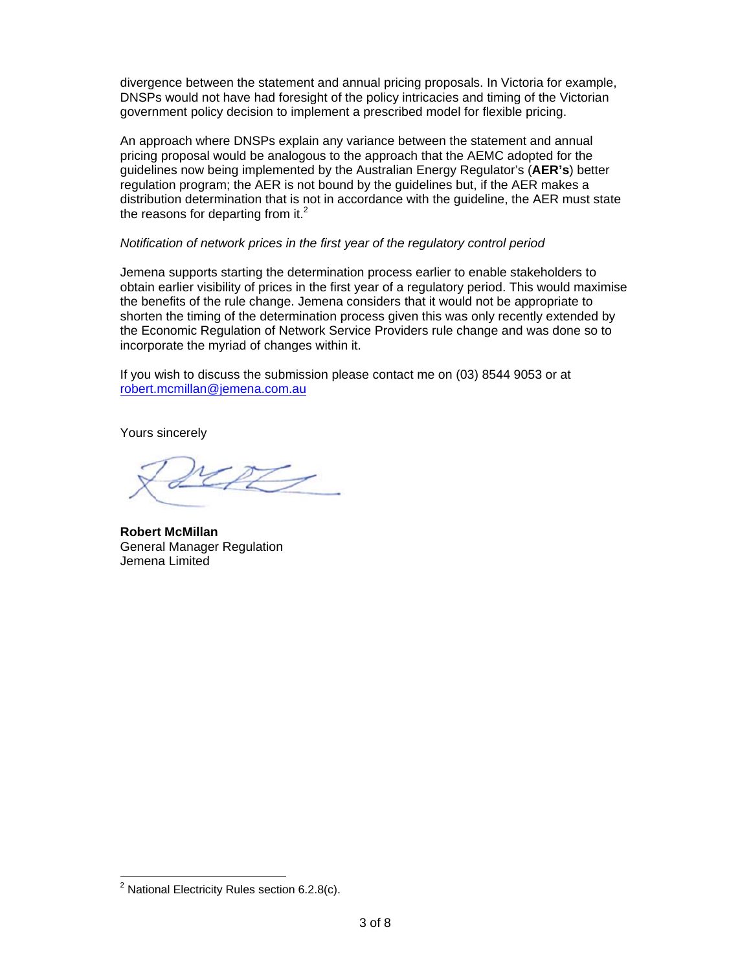divergence between the statement and annual pricing proposals. In Victoria for example, DNSPs would not have had foresight of the policy intricacies and timing of the Victorian government policy decision to implement a prescribed model for flexible pricing.

An approach where DNSPs explain any variance between the statement and annual pricing proposal would be analogous to the approach that the AEMC adopted for the pricing proposal would be analogous to the approach that the AEMC adopted for the<br>guidelines now being implemented by the Australian Energy Regulator's (**AER's**) better regulation program; the AER is not bound by the guidelines but, if the AER makes a distribution determination that is not in accordance with the guideline, the AER must state the reasons for departing from it.<sup>2</sup>

### *Notification of network prices in the first year of the regulatory control period*

Jemena supports starting the determination process earlier to enable stakeholders to Jemena supports starting the determination process earlier to enable stakeholders to<br>obtain earlier visibility of prices in the first year of a regulatory period. This would maximise the benefits of the rule change. Jemena considers that it would not be appropriate to the benefits of the rule change. Jemena considers that it would not be appropriate to<br>shorten the timing of the determination process given this was only recently extended by the Economic Regulation of Network Service Providers rule change and was done so to incorporate the myriad of changes within it.

If you wish to discuss the submission please contact me on (03) 8544 9053 or at robert.mcmillan@jemena.com.au

Yours sincerely

 $\boldsymbol{\mathcal{Z}}$ 

**Robert McMillan** General Manager Regulation Jemena Limited

 $\overline{a}$ 

 $\overline{a}$ 

 $\overline{a}$ 

 $\overline{a^2}$  Nation nal Electricity y Rules sect ion 6.2.8(c).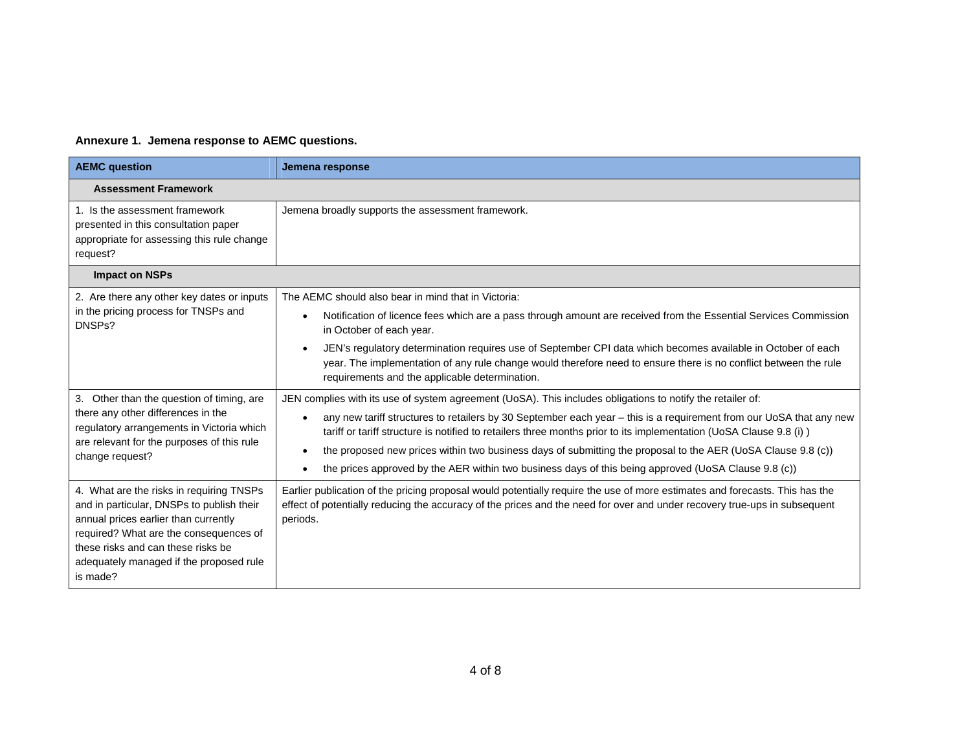# **Annexure 1. Jemena response to AEMC questions.**

| <b>AEMC</b> question                                                                                                                                                                                                                                                 | Jemena response                                                                                                                                                                                                                                                                                                                                                                                                                                                                                                                                                                                   |  |
|----------------------------------------------------------------------------------------------------------------------------------------------------------------------------------------------------------------------------------------------------------------------|---------------------------------------------------------------------------------------------------------------------------------------------------------------------------------------------------------------------------------------------------------------------------------------------------------------------------------------------------------------------------------------------------------------------------------------------------------------------------------------------------------------------------------------------------------------------------------------------------|--|
| <b>Assessment Framework</b>                                                                                                                                                                                                                                          |                                                                                                                                                                                                                                                                                                                                                                                                                                                                                                                                                                                                   |  |
| 1. Is the assessment framework<br>presented in this consultation paper<br>appropriate for assessing this rule change<br>request?                                                                                                                                     | Jemena broadly supports the assessment framework.                                                                                                                                                                                                                                                                                                                                                                                                                                                                                                                                                 |  |
| <b>Impact on NSPs</b>                                                                                                                                                                                                                                                |                                                                                                                                                                                                                                                                                                                                                                                                                                                                                                                                                                                                   |  |
| 2. Are there any other key dates or inputs<br>in the pricing process for TNSPs and<br>DNSP <sub>s</sub> ?                                                                                                                                                            | The AEMC should also bear in mind that in Victoria:<br>Notification of licence fees which are a pass through amount are received from the Essential Services Commission<br>$\bullet$<br>in October of each year.                                                                                                                                                                                                                                                                                                                                                                                  |  |
|                                                                                                                                                                                                                                                                      | JEN's regulatory determination requires use of September CPI data which becomes available in October of each<br>$\bullet$<br>year. The implementation of any rule change would therefore need to ensure there is no conflict between the rule<br>requirements and the applicable determination.                                                                                                                                                                                                                                                                                                   |  |
| 3. Other than the question of timing, are<br>there any other differences in the<br>regulatory arrangements in Victoria which<br>are relevant for the purposes of this rule<br>change request?                                                                        | JEN complies with its use of system agreement (UoSA). This includes obligations to notify the retailer of:<br>any new tariff structures to retailers by 30 September each year – this is a requirement from our UoSA that any new<br>$\bullet$<br>tariff or tariff structure is notified to retailers three months prior to its implementation (UoSA Clause 9.8 (i))<br>the proposed new prices within two business days of submitting the proposal to the AER (UoSA Clause 9.8 (c))<br>٠<br>the prices approved by the AER within two business days of this being approved (UoSA Clause 9.8 (c)) |  |
| 4. What are the risks in requiring TNSPs<br>and in particular, DNSPs to publish their<br>annual prices earlier than currently<br>required? What are the consequences of<br>these risks and can these risks be<br>adequately managed if the proposed rule<br>is made? | Earlier publication of the pricing proposal would potentially require the use of more estimates and forecasts. This has the<br>effect of potentially reducing the accuracy of the prices and the need for over and under recovery true-ups in subsequent<br>periods.                                                                                                                                                                                                                                                                                                                              |  |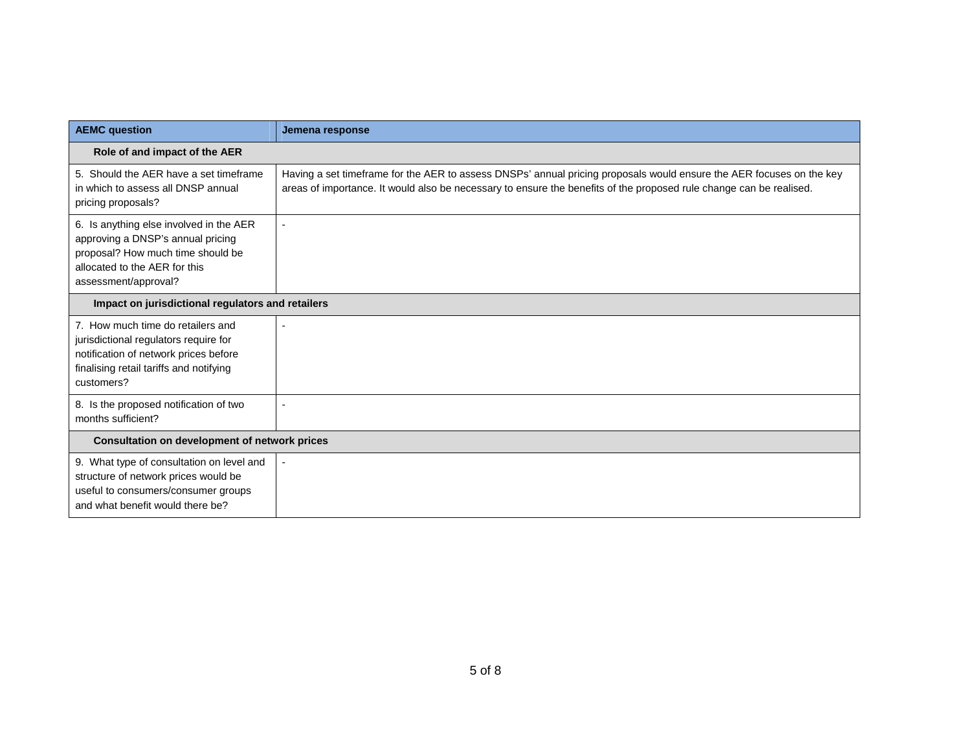| <b>AEMC question</b>                                                                                                                                                         | Jemena response                                                                                                                                                                                                                             |  |
|------------------------------------------------------------------------------------------------------------------------------------------------------------------------------|---------------------------------------------------------------------------------------------------------------------------------------------------------------------------------------------------------------------------------------------|--|
| Role of and impact of the AER                                                                                                                                                |                                                                                                                                                                                                                                             |  |
| 5. Should the AER have a set timeframe<br>in which to assess all DNSP annual<br>pricing proposals?                                                                           | Having a set timeframe for the AER to assess DNSPs' annual pricing proposals would ensure the AER focuses on the key<br>areas of importance. It would also be necessary to ensure the benefits of the proposed rule change can be realised. |  |
| 6. Is anything else involved in the AER<br>approving a DNSP's annual pricing<br>proposal? How much time should be<br>allocated to the AER for this<br>assessment/approval?   |                                                                                                                                                                                                                                             |  |
| Impact on jurisdictional regulators and retailers                                                                                                                            |                                                                                                                                                                                                                                             |  |
| 7. How much time do retailers and<br>jurisdictional regulators require for<br>notification of network prices before<br>finalising retail tariffs and notifying<br>customers? |                                                                                                                                                                                                                                             |  |
| 8. Is the proposed notification of two<br>months sufficient?                                                                                                                 |                                                                                                                                                                                                                                             |  |
| Consultation on development of network prices                                                                                                                                |                                                                                                                                                                                                                                             |  |
| 9. What type of consultation on level and<br>structure of network prices would be<br>useful to consumers/consumer groups<br>and what benefit would there be?                 |                                                                                                                                                                                                                                             |  |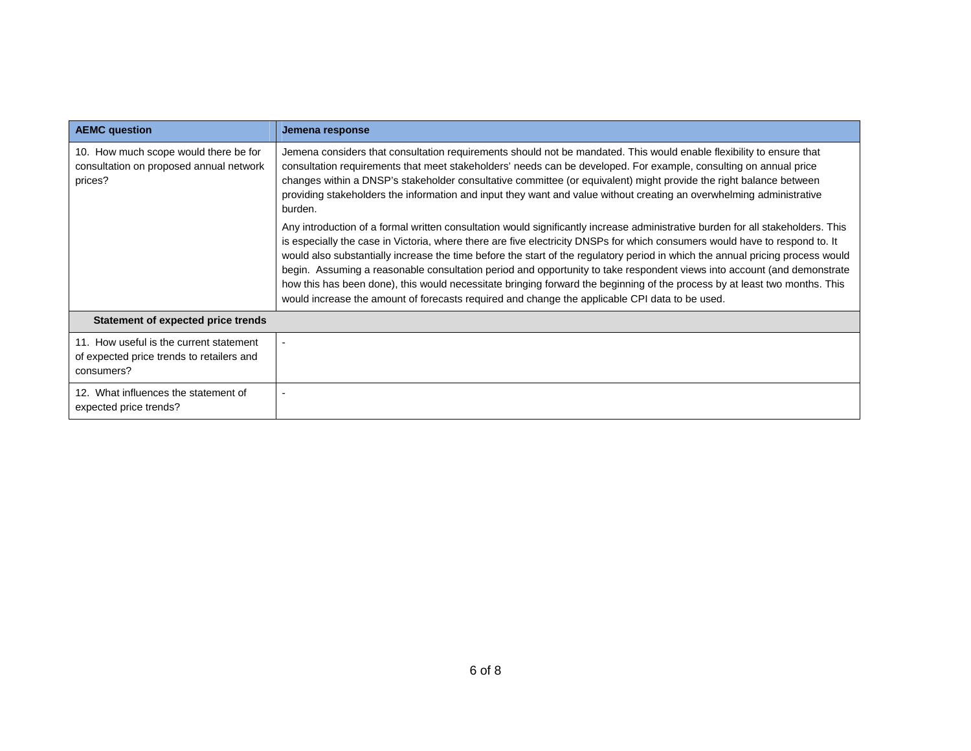| <b>AEMC</b> question                                                                               | Jemena response                                                                                                                                                                                                                                                                                                                                                                                                                                                                                                                                                                                                                                                                                                                                             |
|----------------------------------------------------------------------------------------------------|-------------------------------------------------------------------------------------------------------------------------------------------------------------------------------------------------------------------------------------------------------------------------------------------------------------------------------------------------------------------------------------------------------------------------------------------------------------------------------------------------------------------------------------------------------------------------------------------------------------------------------------------------------------------------------------------------------------------------------------------------------------|
| 10. How much scope would there be for<br>consultation on proposed annual network<br>prices?        | Jemena considers that consultation requirements should not be mandated. This would enable flexibility to ensure that<br>consultation requirements that meet stakeholders' needs can be developed. For example, consulting on annual price<br>changes within a DNSP's stakeholder consultative committee (or equivalent) might provide the right balance between<br>providing stakeholders the information and input they want and value without creating an overwhelming administrative<br>burden.                                                                                                                                                                                                                                                          |
|                                                                                                    | Any introduction of a formal written consultation would significantly increase administrative burden for all stakeholders. This<br>is especially the case in Victoria, where there are five electricity DNSPs for which consumers would have to respond to. It<br>would also substantially increase the time before the start of the regulatory period in which the annual pricing process would<br>begin. Assuming a reasonable consultation period and opportunity to take respondent views into account (and demonstrate<br>how this has been done), this would necessitate bringing forward the beginning of the process by at least two months. This<br>would increase the amount of forecasts required and change the applicable CPI data to be used. |
| Statement of expected price trends                                                                 |                                                                                                                                                                                                                                                                                                                                                                                                                                                                                                                                                                                                                                                                                                                                                             |
| 11. How useful is the current statement<br>of expected price trends to retailers and<br>consumers? |                                                                                                                                                                                                                                                                                                                                                                                                                                                                                                                                                                                                                                                                                                                                                             |
| 12. What influences the statement of<br>expected price trends?                                     |                                                                                                                                                                                                                                                                                                                                                                                                                                                                                                                                                                                                                                                                                                                                                             |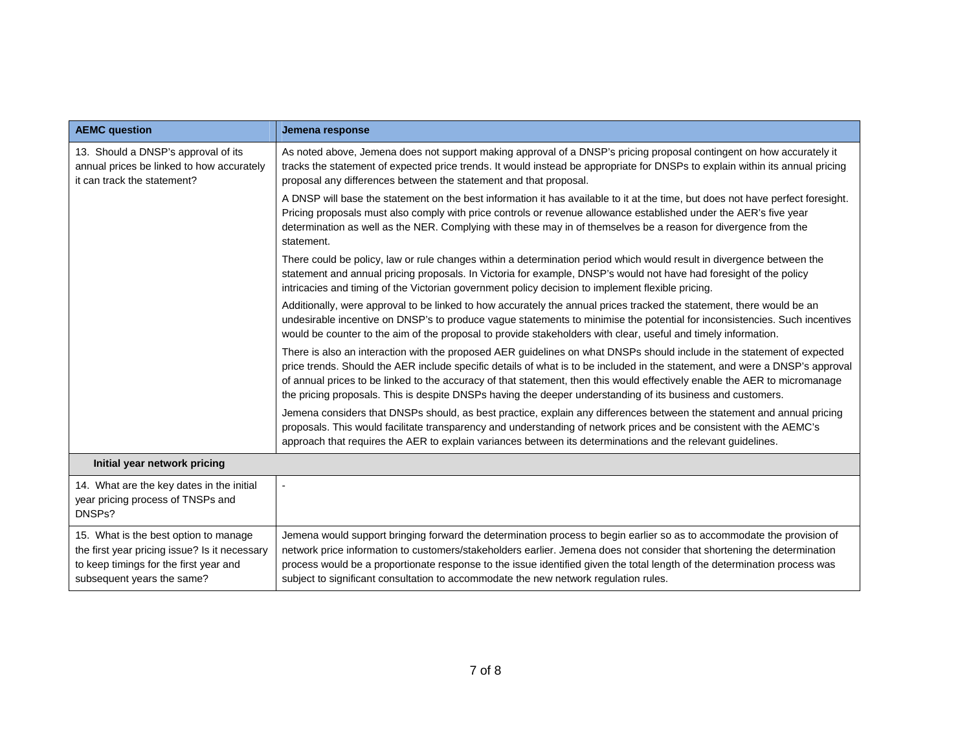| <b>AEMC question</b>                                                                                                                                           | Jemena response                                                                                                                                                                                                                                                                                                                                                                                                                                                                                      |
|----------------------------------------------------------------------------------------------------------------------------------------------------------------|------------------------------------------------------------------------------------------------------------------------------------------------------------------------------------------------------------------------------------------------------------------------------------------------------------------------------------------------------------------------------------------------------------------------------------------------------------------------------------------------------|
| 13. Should a DNSP's approval of its<br>annual prices be linked to how accurately<br>it can track the statement?                                                | As noted above, Jemena does not support making approval of a DNSP's pricing proposal contingent on how accurately it<br>tracks the statement of expected price trends. It would instead be appropriate for DNSPs to explain within its annual pricing<br>proposal any differences between the statement and that proposal.                                                                                                                                                                           |
|                                                                                                                                                                | A DNSP will base the statement on the best information it has available to it at the time, but does not have perfect foresight.<br>Pricing proposals must also comply with price controls or revenue allowance established under the AER's five year<br>determination as well as the NER. Complying with these may in of themselves be a reason for divergence from the<br>statement.                                                                                                                |
|                                                                                                                                                                | There could be policy, law or rule changes within a determination period which would result in divergence between the<br>statement and annual pricing proposals. In Victoria for example, DNSP's would not have had foresight of the policy<br>intricacies and timing of the Victorian government policy decision to implement flexible pricing.                                                                                                                                                     |
|                                                                                                                                                                | Additionally, were approval to be linked to how accurately the annual prices tracked the statement, there would be an<br>undesirable incentive on DNSP's to produce vague statements to minimise the potential for inconsistencies. Such incentives<br>would be counter to the aim of the proposal to provide stakeholders with clear, useful and timely information.                                                                                                                                |
|                                                                                                                                                                | There is also an interaction with the proposed AER guidelines on what DNSPs should include in the statement of expected<br>price trends. Should the AER include specific details of what is to be included in the statement, and were a DNSP's approval<br>of annual prices to be linked to the accuracy of that statement, then this would effectively enable the AER to micromanage<br>the pricing proposals. This is despite DNSPs having the deeper understanding of its business and customers. |
|                                                                                                                                                                | Jemena considers that DNSPs should, as best practice, explain any differences between the statement and annual pricing<br>proposals. This would facilitate transparency and understanding of network prices and be consistent with the AEMC's<br>approach that requires the AER to explain variances between its determinations and the relevant guidelines.                                                                                                                                         |
| Initial year network pricing                                                                                                                                   |                                                                                                                                                                                                                                                                                                                                                                                                                                                                                                      |
| 14. What are the key dates in the initial<br>year pricing process of TNSPs and<br>DNSPs?                                                                       | -                                                                                                                                                                                                                                                                                                                                                                                                                                                                                                    |
| 15. What is the best option to manage<br>the first year pricing issue? Is it necessary<br>to keep timings for the first year and<br>subsequent years the same? | Jemena would support bringing forward the determination process to begin earlier so as to accommodate the provision of<br>network price information to customers/stakeholders earlier. Jemena does not consider that shortening the determination<br>process would be a proportionate response to the issue identified given the total length of the determination process was<br>subject to significant consultation to accommodate the new network regulation rules.                               |